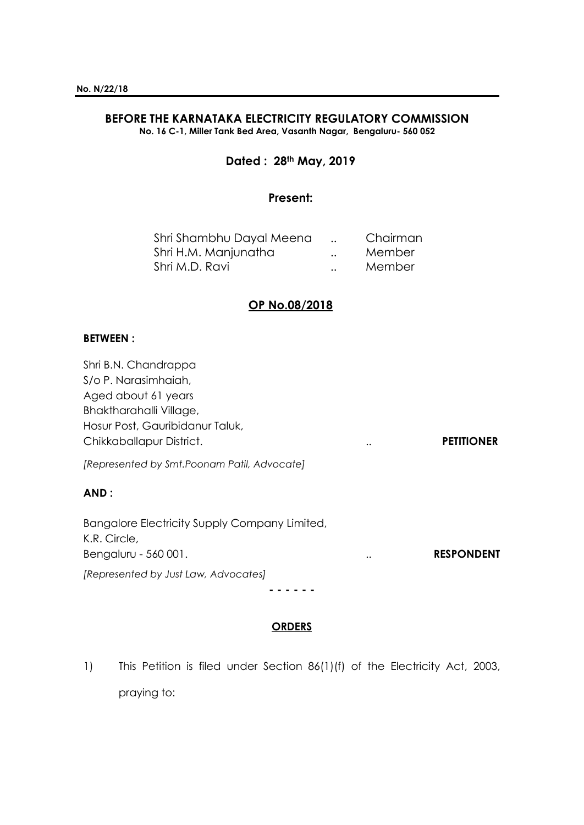#### **BEFORE THE KARNATAKA ELECTRICITY REGULATORY COMMISSION No. 16 C-1, Miller Tank Bed Area, Vasanth Nagar, Bengaluru- 560 052**

# **Dated : 28th May, 2019**

### **Present:**

| Shri Shambhu Dayal Meena |                      | Chairman |
|--------------------------|----------------------|----------|
| Shri H.M. Manjunatha     | $\ddot{\phantom{0}}$ | Member   |
| Shri M.D. Ravi           | $\ddotsc$            | Member   |

# **OP No.08/2018**

### **BETWEEN :**

Shri B.N. Chandrappa S/o P. Narasimhaiah, Aged about 61 years Bhaktharahalli Village, Hosur Post, Gauribidanur Taluk, Chikkaballapur District. .. **PETITIONER** *[Represented by Smt.Poonam Patil, Advocate]* **AND :** Bangalore Electricity Supply Company Limited, K.R. Circle, Bengaluru - 560 001. **RESPONDENT RESPONDENT** *[Represented by Just Law, Advocates]* **- - - - - -**

## **ORDERS**

1) This Petition is filed under Section 86(1)(f) of the Electricity Act, 2003, praying to: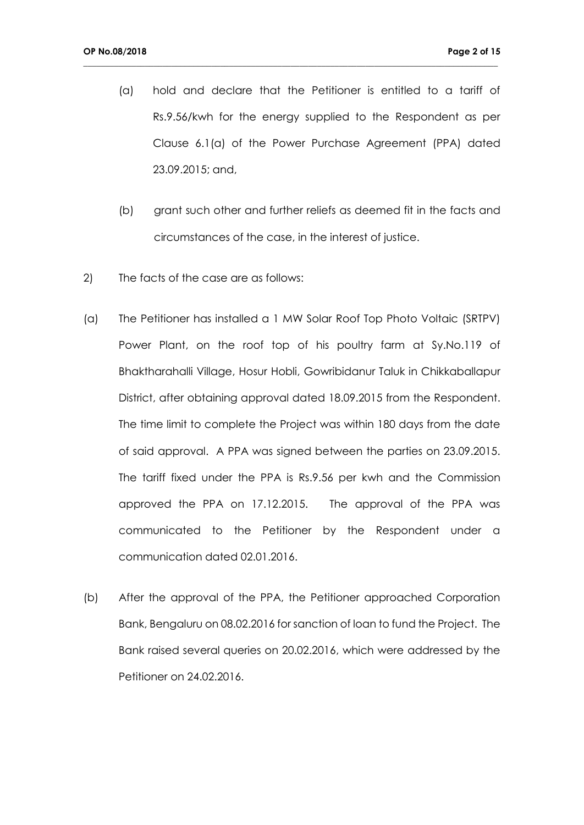(a) hold and declare that the Petitioner is entitled to a tariff of Rs.9.56/kwh for the energy supplied to the Respondent as per Clause 6.1(a) of the Power Purchase Agreement (PPA) dated 23.09.2015; and,

- (b) grant such other and further reliefs as deemed fit in the facts and circumstances of the case, in the interest of justice.
- 2) The facts of the case are as follows:
- (a) The Petitioner has installed a 1 MW Solar Roof Top Photo Voltaic (SRTPV) Power Plant, on the roof top of his poultry farm at Sy.No.119 of Bhaktharahalli Village, Hosur Hobli, Gowribidanur Taluk in Chikkaballapur District, after obtaining approval dated 18.09.2015 from the Respondent. The time limit to complete the Project was within 180 days from the date of said approval. A PPA was signed between the parties on 23.09.2015. The tariff fixed under the PPA is Rs.9.56 per kwh and the Commission approved the PPA on 17.12.2015. The approval of the PPA was communicated to the Petitioner by the Respondent under a communication dated 02.01.2016.
- (b) After the approval of the PPA, the Petitioner approached Corporation Bank, Bengaluru on 08.02.2016 for sanction of loan to fund the Project. The Bank raised several queries on 20.02.2016, which were addressed by the Petitioner on 24.02.2016.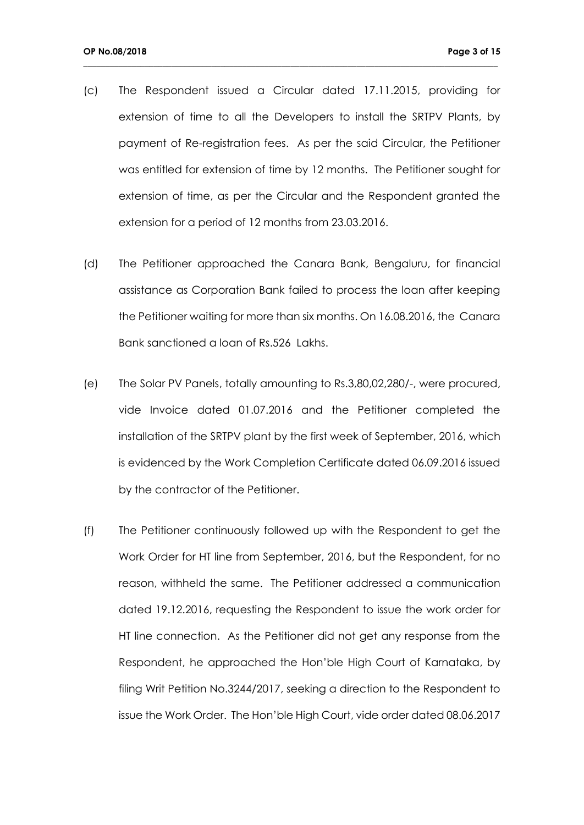(c) The Respondent issued a Circular dated 17.11.2015, providing for extension of time to all the Developers to install the SRTPV Plants, by payment of Re-registration fees. As per the said Circular, the Petitioner was entitled for extension of time by 12 months. The Petitioner sought for extension of time, as per the Circular and the Respondent granted the extension for a period of 12 months from 23.03.2016.

- (d) The Petitioner approached the Canara Bank, Bengaluru, for financial assistance as Corporation Bank failed to process the loan after keeping the Petitioner waiting for more than six months. On 16.08.2016, the Canara Bank sanctioned a loan of Rs.526 Lakhs.
- (e) The Solar PV Panels, totally amounting to Rs.3,80,02,280/-, were procured, vide Invoice dated 01.07.2016 and the Petitioner completed the installation of the SRTPV plant by the first week of September, 2016, which is evidenced by the Work Completion Certificate dated 06.09.2016 issued by the contractor of the Petitioner.
- (f) The Petitioner continuously followed up with the Respondent to get the Work Order for HT line from September, 2016, but the Respondent, for no reason, withheld the same. The Petitioner addressed a communication dated 19.12.2016, requesting the Respondent to issue the work order for HT line connection. As the Petitioner did not get any response from the Respondent, he approached the Hon'ble High Court of Karnataka, by filing Writ Petition No.3244/2017, seeking a direction to the Respondent to issue the Work Order. The Hon'ble High Court, vide order dated 08.06.2017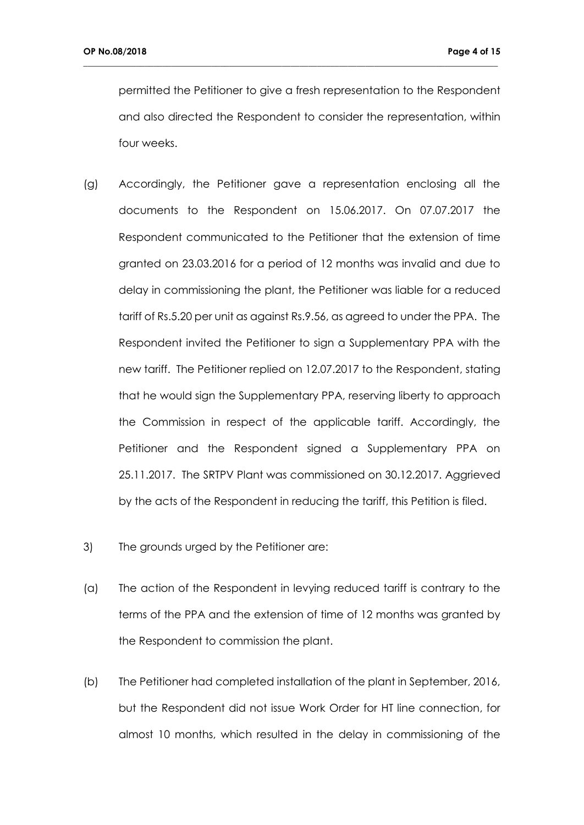permitted the Petitioner to give a fresh representation to the Respondent and also directed the Respondent to consider the representation, within four weeks.

- (g) Accordingly, the Petitioner gave a representation enclosing all the documents to the Respondent on 15.06.2017. On 07.07.2017 the Respondent communicated to the Petitioner that the extension of time granted on 23.03.2016 for a period of 12 months was invalid and due to delay in commissioning the plant, the Petitioner was liable for a reduced tariff of Rs.5.20 per unit as against Rs.9.56, as agreed to under the PPA. The Respondent invited the Petitioner to sign a Supplementary PPA with the new tariff. The Petitioner replied on 12.07.2017 to the Respondent, stating that he would sign the Supplementary PPA, reserving liberty to approach the Commission in respect of the applicable tariff. Accordingly, the Petitioner and the Respondent signed a Supplementary PPA on 25.11.2017. The SRTPV Plant was commissioned on 30.12.2017. Aggrieved by the acts of the Respondent in reducing the tariff, this Petition is filed.
- 3) The grounds urged by the Petitioner are:
- (a) The action of the Respondent in levying reduced tariff is contrary to the terms of the PPA and the extension of time of 12 months was granted by the Respondent to commission the plant.
- (b) The Petitioner had completed installation of the plant in September, 2016, but the Respondent did not issue Work Order for HT line connection, for almost 10 months, which resulted in the delay in commissioning of the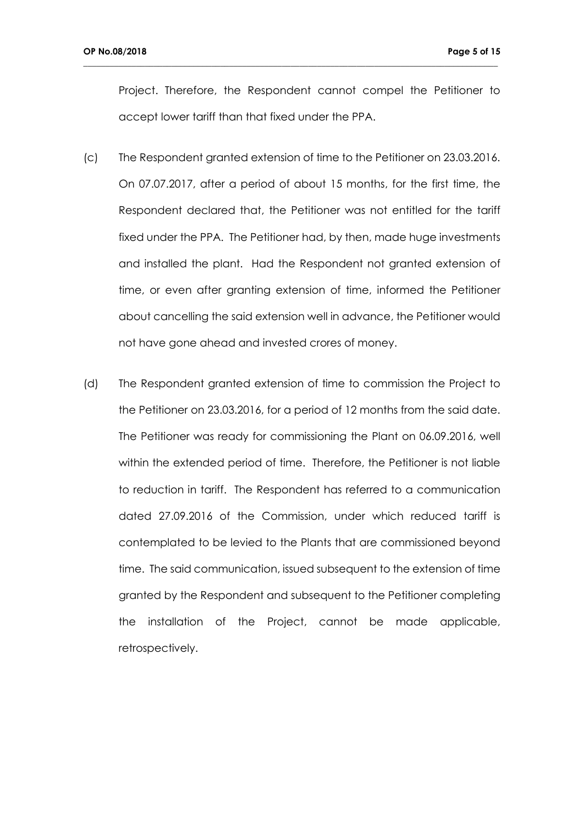Project. Therefore, the Respondent cannot compel the Petitioner to accept lower tariff than that fixed under the PPA.

- (c) The Respondent granted extension of time to the Petitioner on 23.03.2016. On 07.07.2017, after a period of about 15 months, for the first time, the Respondent declared that, the Petitioner was not entitled for the tariff fixed under the PPA. The Petitioner had, by then, made huge investments and installed the plant. Had the Respondent not granted extension of time, or even after granting extension of time, informed the Petitioner about cancelling the said extension well in advance, the Petitioner would not have gone ahead and invested crores of money.
- (d) The Respondent granted extension of time to commission the Project to the Petitioner on 23.03.2016, for a period of 12 months from the said date. The Petitioner was ready for commissioning the Plant on 06.09.2016, well within the extended period of time. Therefore, the Petitioner is not liable to reduction in tariff. The Respondent has referred to a communication dated 27.09.2016 of the Commission, under which reduced tariff is contemplated to be levied to the Plants that are commissioned beyond time. The said communication, issued subsequent to the extension of time granted by the Respondent and subsequent to the Petitioner completing the installation of the Project, cannot be made applicable, retrospectively.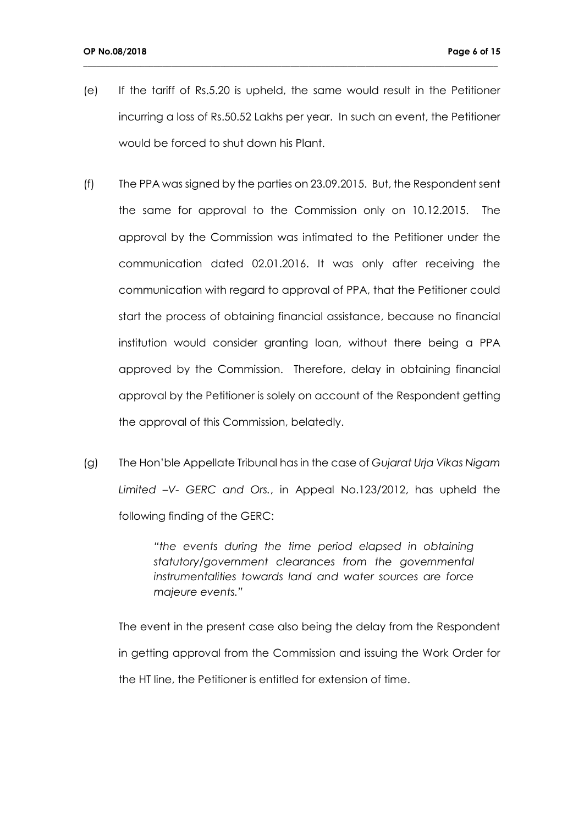(e) If the tariff of Rs.5.20 is upheld, the same would result in the Petitioner incurring a loss of Rs.50.52 Lakhs per year. In such an event, the Petitioner would be forced to shut down his Plant.

**\_\_\_\_\_\_\_\_\_\_\_\_\_\_\_\_\_\_\_\_\_\_\_\_\_\_\_\_\_\_\_\_\_\_\_\_\_\_\_\_\_\_\_\_\_\_\_\_\_\_\_\_\_\_\_\_\_\_\_\_\_\_\_\_\_\_\_\_\_\_\_\_\_\_\_\_\_\_\_\_\_\_\_\_\_\_\_\_\_\_\_\_\_\_**

- (f) The PPA was signed by the parties on 23.09.2015. But, the Respondent sent the same for approval to the Commission only on 10.12.2015. The approval by the Commission was intimated to the Petitioner under the communication dated 02.01.2016. It was only after receiving the communication with regard to approval of PPA, that the Petitioner could start the process of obtaining financial assistance, because no financial institution would consider granting loan, without there being a PPA approved by the Commission. Therefore, delay in obtaining financial approval by the Petitioner is solely on account of the Respondent getting the approval of this Commission, belatedly.
- (g) The Hon'ble Appellate Tribunal has in the case of *Gujarat Urja Vikas Nigam Limited –V- GERC and Ors.*, in Appeal No.123/2012, has upheld the following finding of the GERC:

*"the events during the time period elapsed in obtaining statutory/government clearances from the governmental instrumentalities towards land and water sources are force majeure events."*

The event in the present case also being the delay from the Respondent in getting approval from the Commission and issuing the Work Order for the HT line, the Petitioner is entitled for extension of time.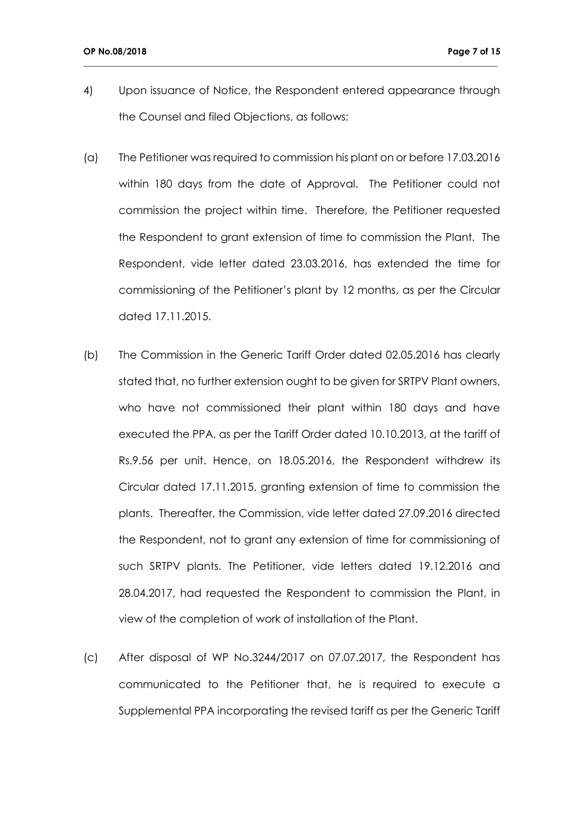4) Upon issuance of Notice, the Respondent entered appearance through the Counsel and filed Objections, as follows:

- (a) The Petitioner was required to commission his plant on or before 17.03.2016 within 180 days from the date of Approval. The Petitioner could not commission the project within time. Therefore, the Petitioner requested the Respondent to grant extension of time to commission the Plant. The Respondent, vide letter dated 23.03.2016, has extended the time for commissioning of the Petitioner's plant by 12 months, as per the Circular dated 17.11.2015.
- (b) The Commission in the Generic Tariff Order dated 02.05.2016 has clearly stated that, no further extension ought to be given for SRTPV Plant owners, who have not commissioned their plant within 180 days and have executed the PPA, as per the Tariff Order dated 10.10.2013, at the tariff of Rs.9.56 per unit. Hence, on 18.05.2016, the Respondent withdrew its Circular dated 17.11.2015, granting extension of time to commission the plants. Thereafter, the Commission, vide letter dated 27.09.2016 directed the Respondent, not to grant any extension of time for commissioning of such SRTPV plants. The Petitioner, vide letters dated 19.12.2016 and 28.04.2017, had requested the Respondent to commission the Plant, in view of the completion of work of installation of the Plant.
- (c) After disposal of WP No.3244/2017 on 07.07.2017, the Respondent has communicated to the Petitioner that, he is required to execute a Supplemental PPA incorporating the revised tariff as per the Generic Tariff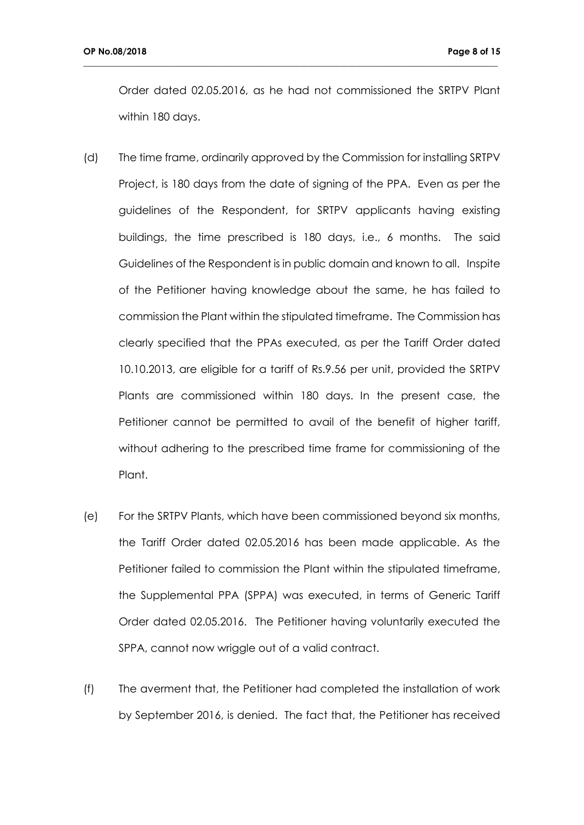Order dated 02.05.2016, as he had not commissioned the SRTPV Plant within 180 days.

- (d) The time frame, ordinarily approved by the Commission for installing SRTPV Project, is 180 days from the date of signing of the PPA. Even as per the guidelines of the Respondent, for SRTPV applicants having existing buildings, the time prescribed is 180 days, i.e., 6 months. The said Guidelines of the Respondent is in public domain and known to all. Inspite of the Petitioner having knowledge about the same, he has failed to commission the Plant within the stipulated timeframe. The Commission has clearly specified that the PPAs executed, as per the Tariff Order dated 10.10.2013, are eligible for a tariff of Rs.9.56 per unit, provided the SRTPV Plants are commissioned within 180 days. In the present case, the Petitioner cannot be permitted to avail of the benefit of higher tariff, without adhering to the prescribed time frame for commissioning of the Plant.
- (e) For the SRTPV Plants, which have been commissioned beyond six months, the Tariff Order dated 02.05.2016 has been made applicable. As the Petitioner failed to commission the Plant within the stipulated timeframe, the Supplemental PPA (SPPA) was executed, in terms of Generic Tariff Order dated 02.05.2016. The Petitioner having voluntarily executed the SPPA, cannot now wriggle out of a valid contract.
- (f) The averment that, the Petitioner had completed the installation of work by September 2016, is denied. The fact that, the Petitioner has received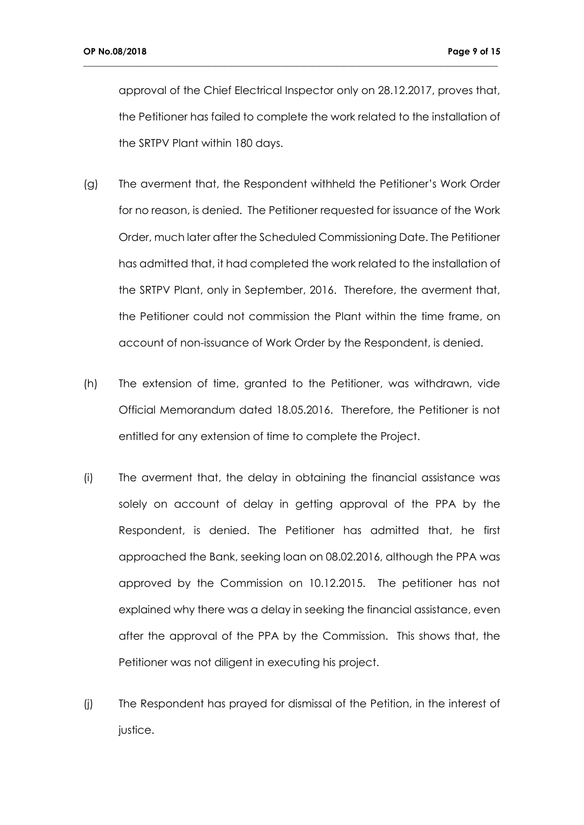approval of the Chief Electrical Inspector only on 28.12.2017, proves that, the Petitioner has failed to complete the work related to the installation of the SRTPV Plant within 180 days.

- (g) The averment that, the Respondent withheld the Petitioner's Work Order for no reason, is denied. The Petitioner requested for issuance of the Work Order, much later after the Scheduled Commissioning Date. The Petitioner has admitted that, it had completed the work related to the installation of the SRTPV Plant, only in September, 2016. Therefore, the averment that, the Petitioner could not commission the Plant within the time frame, on account of non-issuance of Work Order by the Respondent, is denied.
- (h) The extension of time, granted to the Petitioner, was withdrawn, vide Official Memorandum dated 18.05.2016. Therefore, the Petitioner is not entitled for any extension of time to complete the Project.
- (i) The averment that, the delay in obtaining the financial assistance was solely on account of delay in getting approval of the PPA by the Respondent, is denied. The Petitioner has admitted that, he first approached the Bank, seeking loan on 08.02.2016, although the PPA was approved by the Commission on 10.12.2015. The petitioner has not explained why there was a delay in seeking the financial assistance, even after the approval of the PPA by the Commission. This shows that, the Petitioner was not diligent in executing his project.
- (j) The Respondent has prayed for dismissal of the Petition, in the interest of justice.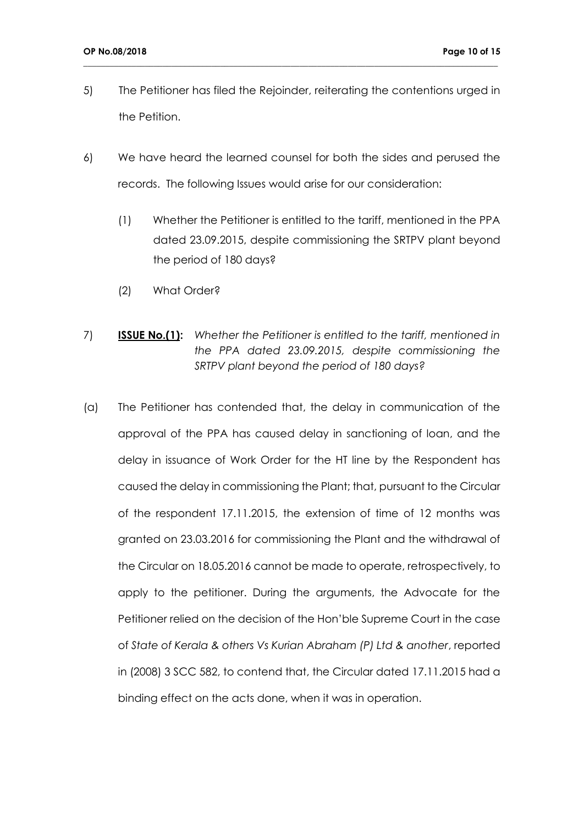5) The Petitioner has filed the Rejoinder, reiterating the contentions urged in the Petition.

- 6) We have heard the learned counsel for both the sides and perused the records. The following Issues would arise for our consideration:
	- (1) Whether the Petitioner is entitled to the tariff, mentioned in the PPA dated 23.09.2015, despite commissioning the SRTPV plant beyond the period of 180 days?
	- (2) What Order?
- 7) **ISSUE No.(1):** *Whether the Petitioner is entitled to the tariff, mentioned in the PPA dated 23.09.2015, despite commissioning the SRTPV plant beyond the period of 180 days?*
- (a) The Petitioner has contended that, the delay in communication of the approval of the PPA has caused delay in sanctioning of loan, and the delay in issuance of Work Order for the HT line by the Respondent has caused the delay in commissioning the Plant; that, pursuant to the Circular of the respondent 17.11.2015, the extension of time of 12 months was granted on 23.03.2016 for commissioning the Plant and the withdrawal of the Circular on 18.05.2016 cannot be made to operate, retrospectively, to apply to the petitioner. During the arguments, the Advocate for the Petitioner relied on the decision of the Hon'ble Supreme Court in the case of *State of Kerala & others Vs Kurian Abraham (P) Ltd & another*, reported in (2008) 3 SCC 582, to contend that, the Circular dated 17.11.2015 had a binding effect on the acts done, when it was in operation.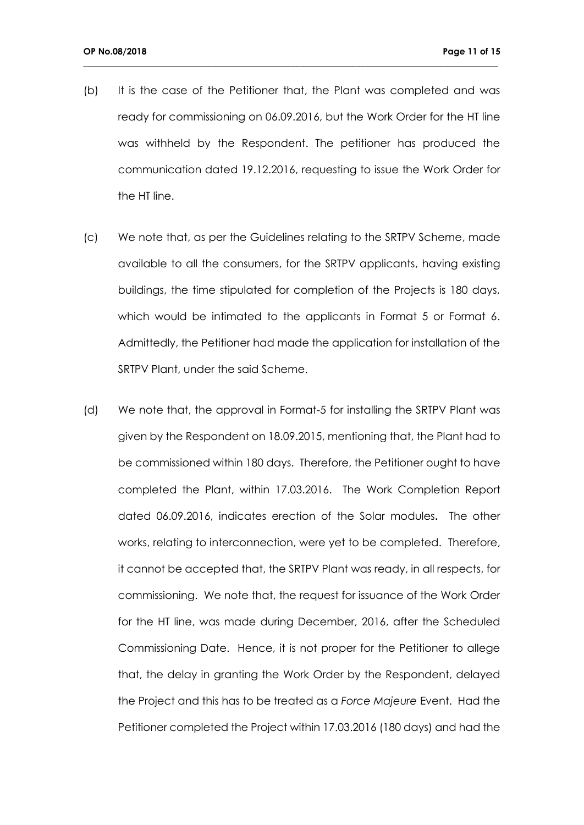(b) It is the case of the Petitioner that, the Plant was completed and was ready for commissioning on 06.09.2016, but the Work Order for the HT line was withheld by the Respondent. The petitioner has produced the communication dated 19.12.2016, requesting to issue the Work Order for the HT line.

- (c) We note that, as per the Guidelines relating to the SRTPV Scheme, made available to all the consumers, for the SRTPV applicants, having existing buildings, the time stipulated for completion of the Projects is 180 days, which would be intimated to the applicants in Format 5 or Format 6. Admittedly, the Petitioner had made the application for installation of the SRTPV Plant, under the said Scheme.
- (d) We note that, the approval in Format-5 for installing the SRTPV Plant was given by the Respondent on 18.09.2015, mentioning that, the Plant had to be commissioned within 180 days. Therefore, the Petitioner ought to have completed the Plant, within 17.03.2016. The Work Completion Report dated 06.09.2016, indicates erection of the Solar modules**.** The other works, relating to interconnection, were yet to be completed. Therefore, it cannot be accepted that, the SRTPV Plant was ready, in all respects, for commissioning. We note that, the request for issuance of the Work Order for the HT line, was made during December, 2016, after the Scheduled Commissioning Date. Hence, it is not proper for the Petitioner to allege that, the delay in granting the Work Order by the Respondent, delayed the Project and this has to be treated as a *Force Majeure* Event. Had the Petitioner completed the Project within 17.03.2016 (180 days) and had the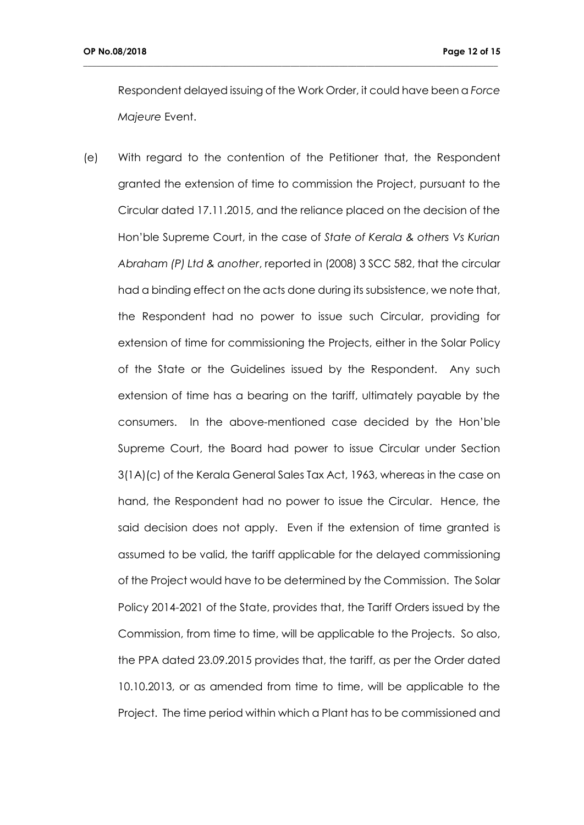Respondent delayed issuing of the Work Order, it could have been a *Force Majeure* Event.

**\_\_\_\_\_\_\_\_\_\_\_\_\_\_\_\_\_\_\_\_\_\_\_\_\_\_\_\_\_\_\_\_\_\_\_\_\_\_\_\_\_\_\_\_\_\_\_\_\_\_\_\_\_\_\_\_\_\_\_\_\_\_\_\_\_\_\_\_\_\_\_\_\_\_\_\_\_\_\_\_\_\_\_\_\_\_\_\_\_\_\_\_\_\_**

(e) With regard to the contention of the Petitioner that, the Respondent granted the extension of time to commission the Project, pursuant to the Circular dated 17.11.2015, and the reliance placed on the decision of the Hon'ble Supreme Court, in the case of *State of Kerala & others Vs Kurian Abraham (P) Ltd & another*, reported in (2008) 3 SCC 582, that the circular had a binding effect on the acts done during its subsistence, we note that, the Respondent had no power to issue such Circular, providing for extension of time for commissioning the Projects, either in the Solar Policy of the State or the Guidelines issued by the Respondent. Any such extension of time has a bearing on the tariff, ultimately payable by the consumers. In the above-mentioned case decided by the Hon'ble Supreme Court, the Board had power to issue Circular under Section 3(1A)(c) of the Kerala General Sales Tax Act, 1963, whereas in the case on hand, the Respondent had no power to issue the Circular. Hence, the said decision does not apply. Even if the extension of time granted is assumed to be valid, the tariff applicable for the delayed commissioning of the Project would have to be determined by the Commission. The Solar Policy 2014-2021 of the State, provides that, the Tariff Orders issued by the Commission, from time to time, will be applicable to the Projects. So also, the PPA dated 23.09.2015 provides that, the tariff, as per the Order dated 10.10.2013, or as amended from time to time, will be applicable to the Project. The time period within which a Plant has to be commissioned and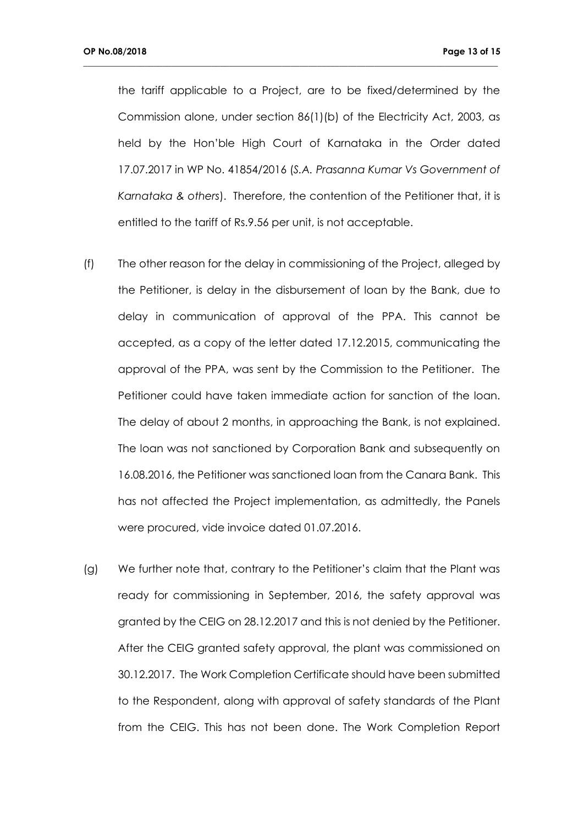the tariff applicable to a Project, are to be fixed/determined by the Commission alone, under section 86(1)(b) of the Electricity Act, 2003, as held by the Hon'ble High Court of Karnataka in the Order dated 17.07.2017 in WP No. 41854/2016 (*S.A. Prasanna Kumar Vs Government of Karnataka & others*). Therefore, the contention of the Petitioner that, it is entitled to the tariff of Rs.9.56 per unit, is not acceptable.

- (f) The other reason for the delay in commissioning of the Project, alleged by the Petitioner, is delay in the disbursement of loan by the Bank, due to delay in communication of approval of the PPA. This cannot be accepted, as a copy of the letter dated 17.12.2015, communicating the approval of the PPA, was sent by the Commission to the Petitioner. The Petitioner could have taken immediate action for sanction of the loan. The delay of about 2 months, in approaching the Bank, is not explained. The loan was not sanctioned by Corporation Bank and subsequently on 16.08.2016, the Petitioner was sanctioned loan from the Canara Bank. This has not affected the Project implementation, as admittedly, the Panels were procured, vide invoice dated 01.07.2016.
- (g) We further note that, contrary to the Petitioner's claim that the Plant was ready for commissioning in September, 2016, the safety approval was granted by the CEIG on 28.12.2017 and this is not denied by the Petitioner. After the CEIG granted safety approval, the plant was commissioned on 30.12.2017. The Work Completion Certificate should have been submitted to the Respondent, along with approval of safety standards of the Plant from the CEIG. This has not been done. The Work Completion Report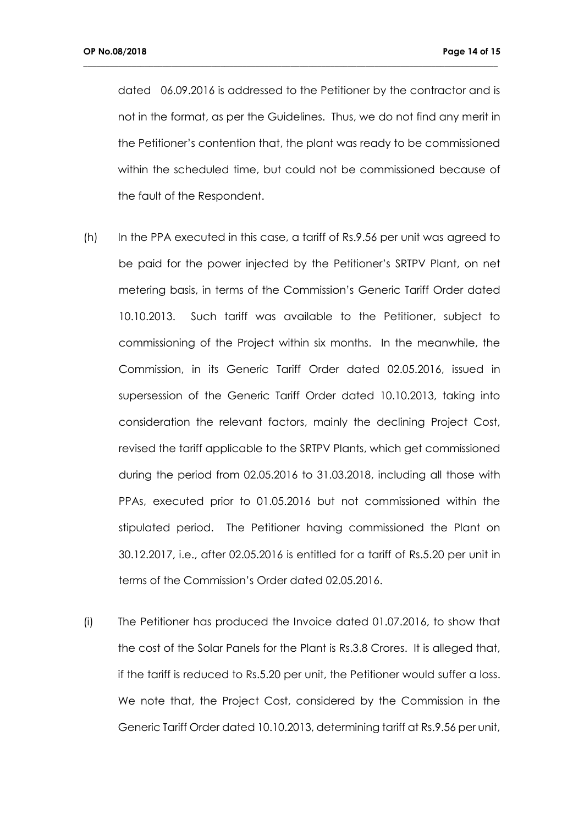dated 06.09.2016 is addressed to the Petitioner by the contractor and is not in the format, as per the Guidelines. Thus, we do not find any merit in the Petitioner's contention that, the plant was ready to be commissioned within the scheduled time, but could not be commissioned because of the fault of the Respondent.

- (h) In the PPA executed in this case, a tariff of Rs.9.56 per unit was agreed to be paid for the power injected by the Petitioner's SRTPV Plant, on net metering basis, in terms of the Commission's Generic Tariff Order dated 10.10.2013. Such tariff was available to the Petitioner, subject to commissioning of the Project within six months. In the meanwhile, the Commission, in its Generic Tariff Order dated 02.05.2016, issued in supersession of the Generic Tariff Order dated 10.10.2013, taking into consideration the relevant factors, mainly the declining Project Cost, revised the tariff applicable to the SRTPV Plants, which get commissioned during the period from 02.05.2016 to 31.03.2018, including all those with PPAs, executed prior to 01.05.2016 but not commissioned within the stipulated period. The Petitioner having commissioned the Plant on 30.12.2017, i.e., after 02.05.2016 is entitled for a tariff of Rs.5.20 per unit in terms of the Commission's Order dated 02.05.2016.
- (i) The Petitioner has produced the Invoice dated 01.07.2016, to show that the cost of the Solar Panels for the Plant is Rs.3.8 Crores. It is alleged that, if the tariff is reduced to Rs.5.20 per unit, the Petitioner would suffer a loss. We note that, the Project Cost, considered by the Commission in the Generic Tariff Order dated 10.10.2013, determining tariff at Rs.9.56 per unit,